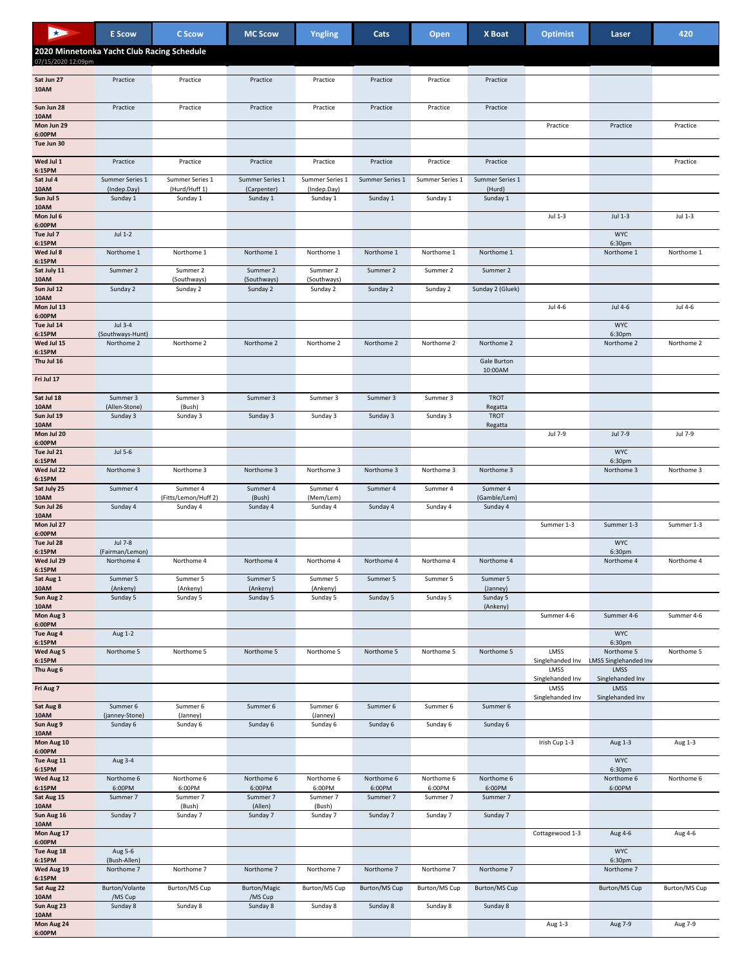| 33                    | <b>E</b> Scow                              | C Scow                           | <b>MC Scow</b>          | Yngling                 | Cats            | Open            | X Boat                   | <b>Optimist</b>          | Laser                                      | 420           |
|-----------------------|--------------------------------------------|----------------------------------|-------------------------|-------------------------|-----------------|-----------------|--------------------------|--------------------------|--------------------------------------------|---------------|
|                       | 2020 Minnetonka Yacht Club Racing Schedule |                                  |                         |                         |                 |                 |                          |                          |                                            |               |
| 07/15/2020 12:09pm    |                                            |                                  |                         |                         |                 |                 |                          |                          |                                            |               |
| Sat Jun 27<br>10AM    | Practice                                   | Practice                         | Practice                | Practice                | Practice        | Practice        | Practice                 |                          |                                            |               |
| Sun Jun 28            | Practice                                   | Practice                         | Practice                | Practice                | Practice        | Practice        | Practice                 |                          |                                            |               |
| 10AM<br>Mon Jun 29    |                                            |                                  |                         |                         |                 |                 |                          | Practice                 | Practice                                   | Practice      |
| 6:00PM<br>Tue Jun 30  |                                            |                                  |                         |                         |                 |                 |                          |                          |                                            |               |
| Wed Jul 1             | Practice                                   | Practice                         | Practice                | Practice                | Practice        | Practice        | Practice                 |                          |                                            | Practice      |
| 6:15PM<br>Sat Jul 4   | Summer Series 1                            | Summer Series 1                  | Summer Series 1         | Summer Series 1         | Summer Series 1 | Summer Series 1 | Summer Series 1          |                          |                                            |               |
| 10AM                  | (Indep.Day)                                | (Hurd/Huff 1)                    | (Carpenter)             | (Indep.Day)             |                 |                 | (Hurd)                   |                          |                                            |               |
| Sun Jul 5<br>10AM     | Sunday 1                                   | Sunday 1                         | Sunday 1                | Sunday 1                | Sunday 1        | Sunday 1        | Sunday 1                 |                          |                                            |               |
| Mon Jul 6<br>6:00PM   |                                            |                                  |                         |                         |                 |                 |                          | Jul 1-3                  | Jul 1-3                                    | Jul 1-3       |
| Tue Jul 7<br>6:15PM   | Jul 1-2                                    |                                  |                         |                         |                 |                 |                          |                          | <b>WYC</b><br>6:30pm                       |               |
| Wed Jul 8<br>6:15PM   | Northome 1                                 | Northome 1                       | Northome 1              | Northome 1              | Northome 1      | Northome 1      | Northome 1               |                          | Northome 1                                 | Northome 1    |
| Sat July 11<br>10AM   | Summer 2                                   | Summer 2<br>(Southways)          | Summer 2<br>(Southways) | Summer 2<br>(Southways) | Summer 2        | Summer 2        | Summer 2                 |                          |                                            |               |
| Sun Jul 12            | Sunday 2                                   | Sunday 2                         | Sunday 2                | Sunday 2                | Sunday 2        | Sunday 2        | Sunday 2 (Gluek)         |                          |                                            |               |
| 10AM<br>Mon Jul 13    |                                            |                                  |                         |                         |                 |                 |                          | Jul 4-6                  | Jul 4-6                                    | Jul 4-6       |
| 6:00PM<br>Tue Jul 14  | Jul 3-4                                    |                                  |                         |                         |                 |                 |                          |                          | <b>WYC</b>                                 |               |
| 6:15PM<br>Wed Jul 15  | (Southways-Hunt)<br>Northome 2             | Northome 2                       | Northome 2              | Northome 2              | Northome 2      | Northome 2      | Northome 2               |                          | 6:30pm<br>Northome 2                       | Northome 2    |
| 6:15PM<br>Thu Jul 16  |                                            |                                  |                         |                         |                 |                 | Gale Burton              |                          |                                            |               |
|                       |                                            |                                  |                         |                         |                 |                 | 10:00AM                  |                          |                                            |               |
| Fri Jul 17            |                                            |                                  |                         |                         |                 |                 |                          |                          |                                            |               |
| Sat Jul 18<br>10AM    | Summer 3<br>(Allen-Stone)                  | Summer 3<br>(Bush)               | Summer 3                | Summer 3                | Summer 3        | Summer 3        | <b>TROT</b><br>Regatta   |                          |                                            |               |
| Sun Jul 19<br>10AM    | Sunday 3                                   | Sunday 3                         | Sunday 3                | Sunday 3                | Sunday 3        | Sunday 3        | <b>TROT</b><br>Regatta   |                          |                                            |               |
| Mon Jul 20<br>6:00PM  |                                            |                                  |                         |                         |                 |                 |                          | Jul 7-9                  | Jul 7-9                                    | Jul 7-9       |
| Tue Jul 21<br>6:15PM  | Jul 5-6                                    |                                  |                         |                         |                 |                 |                          |                          | <b>WYC</b><br>6:30pm                       |               |
| Wed Jul 22            | Northome 3                                 | Northome 3                       | Northome 3              | Northome 3              | Northome 3      | Northome 3      | Northome 3               |                          | Northome 3                                 | Northome 3    |
| 6:15PM<br>Sat July 25 | Summer 4                                   | Summer 4                         | Summer 4                | Summer 4                | Summer 4        | Summer 4        | Summer 4                 |                          |                                            |               |
| 10AM<br>Sun Jul 26    | Sunday 4                                   | (Fitts/Lemon/Huff 2)<br>Sunday 4 | (Bush)<br>Sunday 4      | (Mem/Lem)<br>Sunday 4   | Sunday 4        | Sunday 4        | (Gamble/Lem)<br>Sunday 4 |                          |                                            |               |
| 10AM<br>Mon Jul 27    |                                            |                                  |                         |                         |                 |                 |                          | Summer 1-3               | Summer 1-3                                 | Summer 1-3    |
| 6:00PM<br>Tue Jul 28  | Jul 7-8                                    |                                  |                         |                         |                 |                 |                          |                          | <b>WYC</b>                                 |               |
| 6:15PM<br>Wed Jul 29  | (Fairman/Lemon)<br>Northome 4              | Northome 4                       | Northome 4              | Northome 4              | Northome 4      | Northome 4      | Northome 4               |                          | 6:30pm<br>Northome 4                       | Northome 4    |
| 6:15PM                |                                            |                                  |                         |                         |                 |                 |                          |                          |                                            |               |
| Sat Aug 1<br>10AM     | Summer 5<br>(Ankeny)                       | Summer 5<br>(Ankeny)             | Summer 5<br>(Ankeny)    | Summer 5<br>(Ankeny)    | Summer 5        | Summer 5        | Summer 5<br>(Janney)     |                          |                                            |               |
| Sun Aug 2<br>10AM     | Sunday 5                                   | Sunday 5                         | Sunday 5                | Sunday 5                | Sunday 5        | Sunday 5        | Sunday 5<br>(Ankeny)     |                          |                                            |               |
| Mon Aug 3<br>6:00PM   |                                            |                                  |                         |                         |                 |                 |                          | Summer 4-6               | Summer 4-6                                 | Summer 4-6    |
| Tue Aug 4<br>6:15PM   | Aug 1-2                                    |                                  |                         |                         |                 |                 |                          |                          | <b>WYC</b><br>6:30pm                       |               |
| Wed Aug 5<br>6:15PM   | Northome 5                                 | Northome 5                       | Northome 5              | Northome 5              | Northome 5      | Northome 5      | Northome 5               | LMSS<br>Singlehanded Inv | Northome 5<br><b>LMSS Singlehanded Inv</b> | Northome 5    |
| Thu Aug 6             |                                            |                                  |                         |                         |                 |                 |                          | LMSS                     | LMSS                                       |               |
| Fri Aug 7             |                                            |                                  |                         |                         |                 |                 |                          | Singlehanded Inv<br>LMSS | Singlehanded Inv<br>LMSS                   |               |
| Sat Aug 8             | Summer 6                                   | Summer 6                         | Summer 6                | Summer 6                | Summer 6        | Summer 6        | Summer 6                 | Singlehanded Inv         | Singlehanded Inv                           |               |
| 10AM<br>Sun Aug 9     | (janney-Stone)<br>Sunday 6                 | (Janney)<br>Sunday 6             | Sunday 6                | (Janney)<br>Sunday 6    | Sunday 6        | Sunday 6        | Sunday 6                 |                          |                                            |               |
| 10AM<br>Mon Aug 10    |                                            |                                  |                         |                         |                 |                 |                          | Irish Cup 1-3            | Aug 1-3                                    | Aug 1-3       |
| 6:00PM<br>Tue Aug 11  | Aug 3-4                                    |                                  |                         |                         |                 |                 |                          |                          | <b>WYC</b>                                 |               |
| 6:15PM<br>Wed Aug 12  | Northome 6                                 | Northome 6                       | Northome 6              | Northome 6              | Northome 6      | Northome 6      | Northome 6               |                          | 6:30pm<br>Northome 6                       | Northome 6    |
| 6:15PM                | 6:00PM                                     | 6:00PM                           | 6:00PM                  | 6:00PM                  | 6:00PM          | 6:00PM          | 6:00PM                   |                          | 6:00PM                                     |               |
| Sat Aug 15<br>10AM    | Summer 7                                   | Summer 7<br>(Bush)               | Summer 7<br>(Allen)     | Summer 7<br>(Bush)      | Summer 7        | Summer 7        | Summer 7                 |                          |                                            |               |
| Sun Aug 16<br>10AM    | Sunday 7                                   | Sunday 7                         | Sunday 7                | Sunday 7                | Sunday 7        | Sunday 7        | Sunday 7                 |                          |                                            |               |
| Mon Aug 17<br>6:00PM  |                                            |                                  |                         |                         |                 |                 |                          | Cottagewood 1-3          | Aug 4-6                                    | Aug 4-6       |
| Tue Aug 18<br>6:15PM  | Aug 5-6<br>(Bush-Allen)                    |                                  |                         |                         |                 |                 |                          |                          | <b>WYC</b><br>6:30pm                       |               |
| Wed Aug 19            | Northome 7                                 | Northome 7                       | Northome 7              | Northome 7              | Northome 7      | Northome 7      | Northome 7               |                          | Northome 7                                 |               |
| 6:15PM<br>Sat Aug 22  | Burton/Volante                             | Burton/MS Cup                    | Burton/Magic            | Burton/MS Cup           | Burton/MS Cup   | Burton/MS Cup   | Burton/MS Cup            |                          | Burton/MS Cup                              | Burton/MS Cup |
| 10AM<br>Sun Aug 23    | /MS Cup<br>Sunday 8                        | Sunday 8                         | /MS Cup<br>Sunday 8     | Sunday 8                | Sunday 8        | Sunday 8        | Sunday 8                 |                          |                                            |               |
| 10AM<br>Mon Aug 24    |                                            |                                  |                         |                         |                 |                 |                          | Aug 1-3                  | Aug 7-9                                    | Aug 7-9       |
|                       |                                            |                                  |                         |                         |                 |                 |                          |                          |                                            |               |